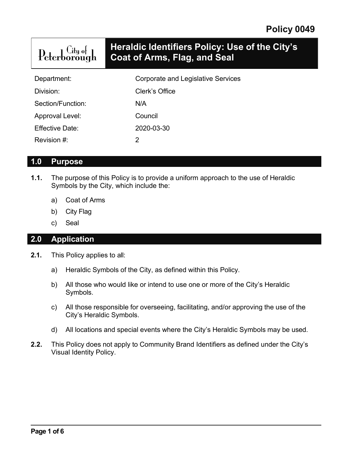| ${\rm Peter}^{\rm City\ of}_{\rm group}$ | Heraldic Identifiers Policy: Use of the City's<br>Coat of Arms, Flag, and Seal |
|------------------------------------------|--------------------------------------------------------------------------------|
| Department:                              | <b>Corporate and Legislative Services</b>                                      |
| Division:                                | Clerk's Office                                                                 |
|                                          |                                                                                |

Section/Function: N/A

Approval Level: Council

Effective Date: 2020-03-30

Revision #: 2

#### **1.0 Purpose**

- **1.1.** The purpose of this Policy is to provide a uniform approach to the use of Heraldic Symbols by the City, which include the:
	- a) Coat of Arms
	- b) City Flag
	- c) Seal

### **2.0 Application**

- **2.1.** This Policy applies to all:
	- a) Heraldic Symbols of the City, as defined within this Policy.
	- b) All those who would like or intend to use one or more of the City's Heraldic Symbols.
	- c) All those responsible for overseeing, facilitating, and/or approving the use of the City's Heraldic Symbols.
	- d) All locations and special events where the City's Heraldic Symbols may be used.
- **2.2.** This Policy does not apply to Community Brand Identifiers as defined under the City's Visual Identity Policy.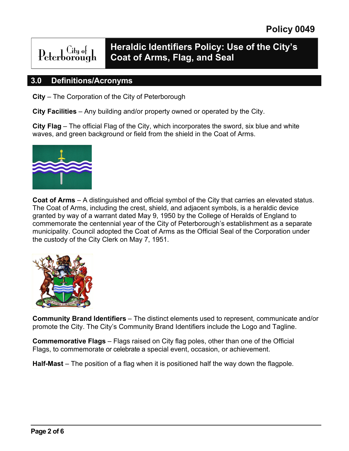# **Heraldic Identifiers Policy: Use of the City's Coat of Arms, Flag, and Seal**

#### **3.0 Definitions/Acronyms**

Citu ot

 $\text{Peterborough} \quad \text{City of}$ 

**City** – The Corporation of the City of Peterborough

**City Facilities** – Any building and/or property owned or operated by the City.

**City Flag** – The official Flag of the City, which incorporates the sword, six blue and white waves, and green background or field from the shield in the Coat of Arms.



**Coat of Arms** – A distinguished and official symbol of the City that carries an elevated status. The Coat of Arms, including the crest, shield, and adjacent symbols, is a heraldic device granted by way of a warrant dated May 9, 1950 by the College of Heralds of England to commemorate the centennial year of the City of Peterborough's establishment as a separate municipality. Council adopted the Coat of Arms as the Official Seal of the Corporation under the custody of the City Clerk on May 7, 1951.



**Community Brand Identifiers** – The distinct elements used to represent, communicate and/or promote the City. The City's Community Brand Identifiers include the Logo and Tagline.

**Commemorative Flags** – Flags raised on City flag poles, other than one of the Official Flags, to commemorate or celebrate a special event, occasion, or achievement.

**Half-Mast** – The position of a flag when it is positioned half the way down the flagpole.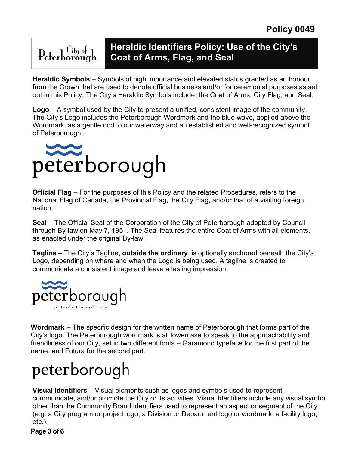# $Peterborough$

# **Heraldic Identifiers Policy: Use of the City's Coat of Arms, Flag, and Seal**

**Heraldic Symbols** – Symbols of high importance and elevated status granted as an honour from the Crown that are used to denote official business and/or for ceremonial purposes as set out in this Policy. The City's Heraldic Symbols include: the Coat of Arms, City Flag, and Seal.

**Logo** – A symbol used by the City to present a unified, consistent image of the community. The City's Logo includes the Peterborough Wordmark and the blue wave, applied above the Wordmark, as a gentle nod to our waterway and an established and well-recognized symbol of Peterborough.



**Official Flag** – For the purposes of this Policy and the related Procedures, refers to the National Flag of Canada, the Provincial Flag, the City Flag, and/or that of a visiting foreign nation.

**Seal** – The Official Seal of the Corporation of the City of Peterborough adopted by Council through By-law on May 7, 1951. The Seal features the entire Coat of Arms with all elements, as enacted under the original By-law.

**Tagline** – The City's Tagline, **outside the ordinary**, is optionally anchored beneath the City's Logo, depending on where and when the Logo is being used. A tagline is created to communicate a consistent image and leave a lasting impression.



**Wordmark** – The specific design for the written name of Peterborough that forms part of the City's logo. The Peterborough wordmark is all lowercase to speak to the approachability and friendliness of our City, set in two different fonts – Garamond typeface for the first part of the name, and Futura for the second part.

# peterborough

**Visual Identifiers** – Visual elements such as logos and symbols used to represent, communicate, and/or promote the City or its activities. Visual Identifiers include any visual symbol other than the Community Brand Identifiers used to represent an aspect or segment of the City (e.g. a City program or project logo, a Division or Department logo or wordmark, a facility logo, etc.).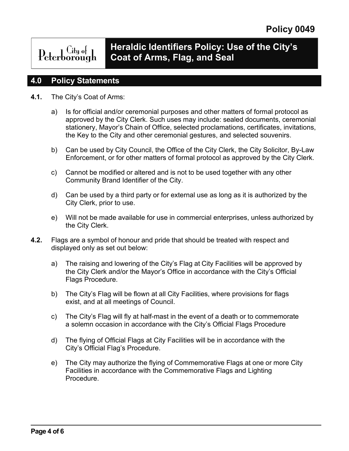# Peterborough

## **Heraldic Identifiers Policy: Use of the City's Coat of Arms, Flag, and Seal**

#### **4.0 Policy Statements**

- **4.1.** The City's Coat of Arms:
	- a) Is for official and/or ceremonial purposes and other matters of formal protocol as approved by the City Clerk. Such uses may include: sealed documents, ceremonial stationery, Mayor's Chain of Office, selected proclamations, certificates, invitations, the Key to the City and other ceremonial gestures, and selected souvenirs.
	- b) Can be used by City Council, the Office of the City Clerk, the City Solicitor, By-Law Enforcement, or for other matters of formal protocol as approved by the City Clerk.
	- c) Cannot be modified or altered and is not to be used together with any other Community Brand Identifier of the City.
	- d) Can be used by a third party or for external use as long as it is authorized by the City Clerk, prior to use.
	- e) Will not be made available for use in commercial enterprises, unless authorized by the City Clerk.
- **4.2.** Flags are a symbol of honour and pride that should be treated with respect and displayed only as set out below:
	- a) The raising and lowering of the City's Flag at City Facilities will be approved by the City Clerk and/or the Mayor's Office in accordance with the City's Official Flags Procedure.
	- b) The City's Flag will be flown at all City Facilities, where provisions for flags exist, and at all meetings of Council.
	- c) The City's Flag will fly at half-mast in the event of a death or to commemorate a solemn occasion in accordance with the City's Official Flags Procedure
	- d) The flying of Official Flags at City Facilities will be in accordance with the City's Official Flag's Procedure.
	- e) The City may authorize the flying of Commemorative Flags at one or more City Facilities in accordance with the Commemorative Flags and Lighting Procedure.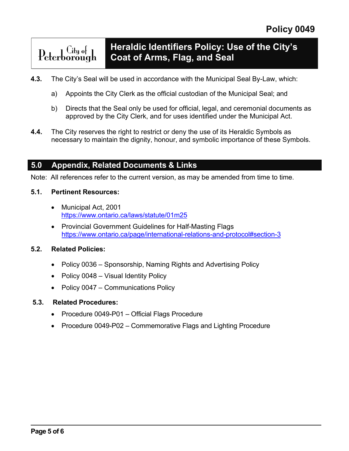#### **Heraldic Identifiers Policy: Use of the City's**  Peterborough **Coat of Arms, Flag, and Seal**

- **4.3.** The City's Seal will be used in accordance with the Municipal Seal By-Law, which:
	- a) Appoints the City Clerk as the official custodian of the Municipal Seal; and
	- b) Directs that the Seal only be used for official, legal, and ceremonial documents as approved by the City Clerk, and for uses identified under the Municipal Act.
- **4.4.** The City reserves the right to restrict or deny the use of its Heraldic Symbols as necessary to maintain the dignity, honour, and symbolic importance of these Symbols.

#### **5.0 Appendix, Related Documents & Links**

Note: All references refer to the current version, as may be amended from time to time.

#### **5.1. Pertinent Resources:**

- Municipal Act, 2001 <https://www.ontario.ca/laws/statute/01m25>
- Provincial Government Guidelines for Half-Masting Flags [https://www.ontario.ca/page/international-relations-and-protocol#section-3](https://www.ontario.ca/page/international-relations-and-protocol%23section-3)

#### **5.2. Related Policies:**

- Policy 0036 Sponsorship, Naming Rights and Advertising Policy
- Policy 0048 Visual Identity Policy
- Policy 0047 Communications Policy

#### **5.3. Related Procedures:**

- Procedure 0049-P01 Official Flags Procedure
- Procedure 0049-P02 Commemorative Flags and Lighting Procedure